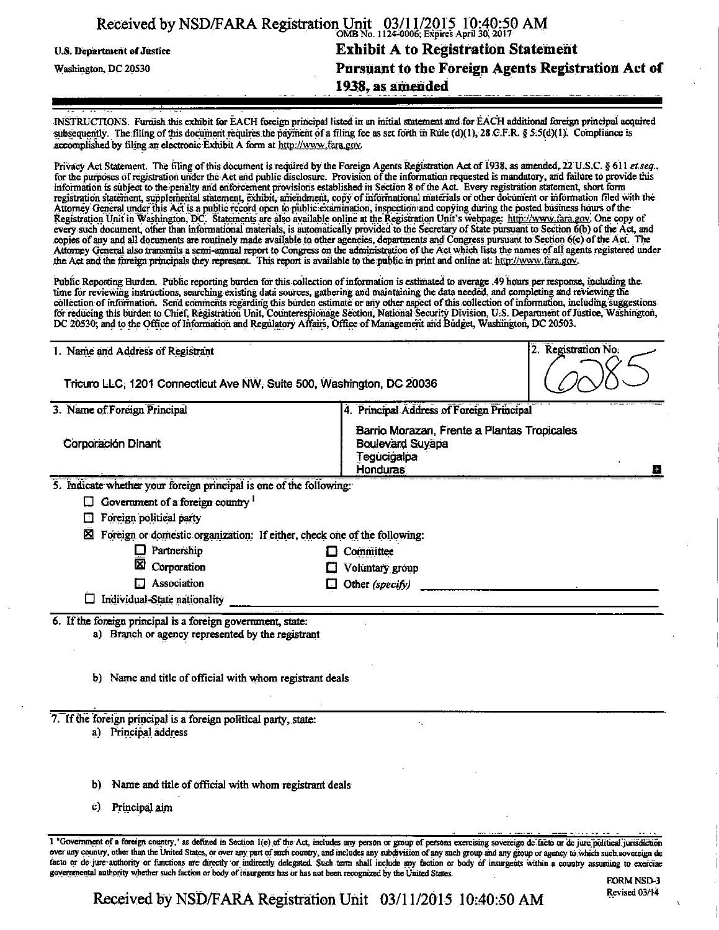|                            | Received by NSD/FARA Registration Unit 03/11/2015 10:40:50 AM |  |
|----------------------------|---------------------------------------------------------------|--|
| U.S. Department of Justice | <b>Exhibit A to Registration Statement</b>                    |  |
| Washington, DC 20530       | Pursuant to the Foreign Agents Registration Act of            |  |
|                            | 1938, as amended                                              |  |

INSTRUCTIONS. Furnish this exhibit for EACH foreign principal listed in an initial statement andfor EACH additional foreign principal acquired subsequently. The filing of this document requires the payment of a filing fee as set forth in Rule (d)(1), 28 G.F.R. § 5.5(d)(1). Compliance is accomplished by filing an electronic Exhibit A form at http://www.fara.gov.

Privacy Act Statement. The filing of this document is required by the Foreign Agents Registration Act of 1938, as amended, 22 U.S.C. § 611 et seq., for the purposes of registration under the Act and public disclosure. Provision of the information requested is mandatory, and failure to provide this information is subject to the penalty and enforcement provisions established in Section 8 of the Act. Every registration statement, short form registration statement, supplemental statement, exhibit, amendment, copy of raformational materials or other document or information filed with the Attorney General imder this Act is a public record open to public examination, inspection and copying during the posted business hours ofthe Registration Unit in Washington, DC. Statements are also available online at the Registration Unit's webpage: http://www.fara.gov. One copy of every such document, other than informational materials, is automatically provided to the Secretary of State pursuantto Section 6(b) of the Act, and copies of any and all documents are routinely made available to other agencies, departments and Congress pursuant to Section 6(c) of the Act. The Attorney General also transmits a semi-annual report to Congress on the administration of the Act which lists the names of all agents registered under the Act and the foreign principals they represent. This report is available to the public in print and online at: http://www. fara.gov.

Public Reporting Burden. Public reporting burden for this collection of information is estimated to average .49 hours per response, including the. time for reviewing instructions, searching existing data sources, gathering arid maintaining the data needed, and completing and reviewing the collection of information. Send comments regarding this burden estimate or any other aspect of this collection of information, including suggestions. for reducing this burden to Chief, Registration Unit, Counterespionage Section, National Security Division, U.S. Department of Justice, Washington, DC 20530; and to the Office of Information and Regulatory Affairs, Office of Management and Budget, Washington, DC 20503.

|                                                                                                                                                                              | 2. Registration No.<br>1. Name and Address of Registrant                                                |  |  |  |  |
|------------------------------------------------------------------------------------------------------------------------------------------------------------------------------|---------------------------------------------------------------------------------------------------------|--|--|--|--|
| Tricuro LLC, 1201 Connecticut Ave NW, Suite 500, Washington, DC 20036                                                                                                        |                                                                                                         |  |  |  |  |
| 3. Name of Foreign Principal                                                                                                                                                 | 4. Principal Address of Foreign Principal                                                               |  |  |  |  |
| Corporación Dinant                                                                                                                                                           | Barrio Morazan, Frente a Plantas Tropicales<br><b>Boulevard Suyapa</b><br>Tegucigalpa<br>Honduras.<br>B |  |  |  |  |
| Indicate whether your foreign principal is one of the following:<br>5.                                                                                                       |                                                                                                         |  |  |  |  |
| Government of a foreign country $1$                                                                                                                                          |                                                                                                         |  |  |  |  |
| Foreign political party                                                                                                                                                      |                                                                                                         |  |  |  |  |
| ⊠ Foreign or domestic organization: If either, check one of the following:                                                                                                   |                                                                                                         |  |  |  |  |
| Partnership                                                                                                                                                                  | $\Box$ Committee                                                                                        |  |  |  |  |
| ⊠<br>Corporation                                                                                                                                                             | Voluntary group                                                                                         |  |  |  |  |
| Association                                                                                                                                                                  | Other (specify)                                                                                         |  |  |  |  |
| Individual-State nationality<br>⊔                                                                                                                                            |                                                                                                         |  |  |  |  |
| 6. If the foreign principal is a foreign government, state:<br>a) Branch or agency represented by the registrant<br>b) Name and title of official with whom registrant deals |                                                                                                         |  |  |  |  |
| 7. If the foreign principal is a foreign political party, state:                                                                                                             |                                                                                                         |  |  |  |  |
| a) Principal address                                                                                                                                                         |                                                                                                         |  |  |  |  |
| Name and title of official with whom registrant deals<br>b)                                                                                                                  |                                                                                                         |  |  |  |  |
| Principal aim<br>C)                                                                                                                                                          |                                                                                                         |  |  |  |  |

FORM NSD-3

Received by NSD/FARA Registration Unit 03/11/2015 10:40:50 AM

governmental authority whether such faction or body of insurgents has or has not been recognized by the United States.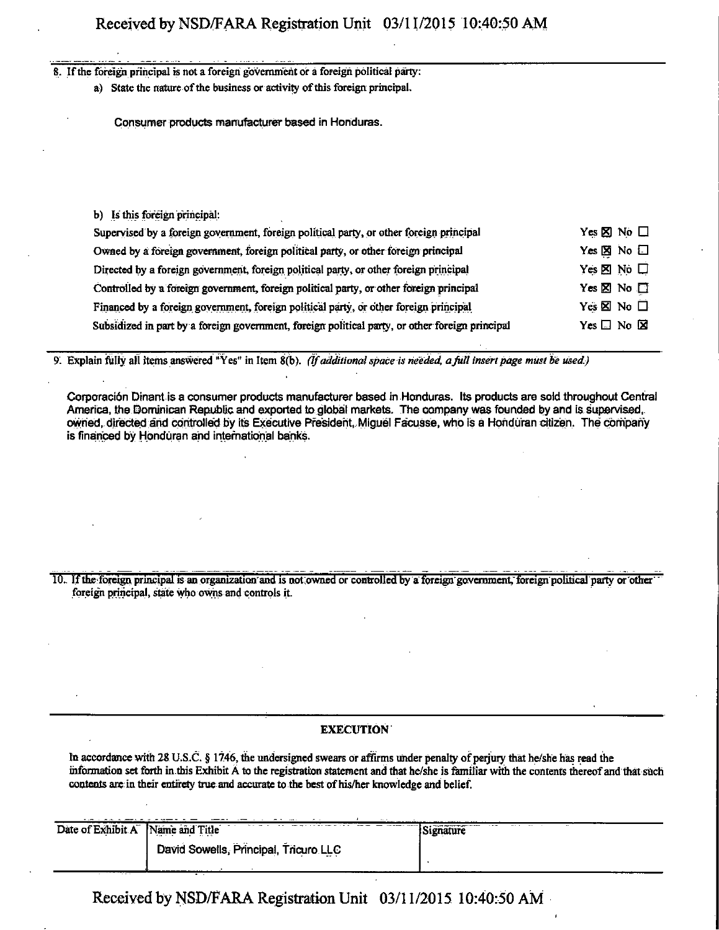#### 8. If the foreign principal is not a foreign government or a foreign political party:

a) State the nature of the business or activity of this foreign principal.

Consumer products manufacturer based in Honduras.

#### b) Is this foreign principal:

| Supervised by a foreign government, foreign political party, or other foreign principal         | Yes $\boxtimes$ No $\Box$    |
|-------------------------------------------------------------------------------------------------|------------------------------|
| Owned by a foreign government, foreign political party, or other foreign principal              | Yes $\boxtimes$ No $\square$ |
| Directed by a foreign government, foreign political party, or other foreign principal           | Yes $\times$ No $\Box$       |
| Controlled by a foreign government, foreign political party, or other foreign principal         | Yes $\Sigma$ No $\square$    |
| Financed by a foreign government, foreign political party, or other foreign principal           | Yes $\times$ No $\Box$       |
| Subsidized in part by a foreign government, foreign political party, or other foreign principal | Yes $\square$ No $\square$   |

*9^ Explain fully all items answered "Yes" in Item 8(b). (If additional space is needed, a full insert page must be used.)* 

Corporaci6n Drnant is a consumer products manufacturer based in Honduras. Its products are sold throughout Central America, the Dominican Republic and exported to global markets. The company was founded by and is supervised, owned. directed and controlled by its Executive President, Miguel Facusse, who is a Honduran citizen. The company is financed by Honduran and international banks.

I0. If the foreign principal is an organization and is not owned or controlled by a foreign government, foreign political party or other foreign principal, state who owns and controls it.

## EXECUTION

m accordance with 28 U.S.C. § 1746, the undersigned swears or affirms under penalty of perjury that he/she has read the information set forth in this Exhibit A to the registration statement and that he/she is familiar with the contents thereof and that such contents are in their entirety true and accurate to the best of his/her knowledge and belief.

| Date of Exhibit A | Name and Title<br>the contract of the contract of the | $-$<br>Signature |
|-------------------|-------------------------------------------------------|------------------|
|                   | David Sowells, Principal, Tricuro LLC<br>and a        |                  |
|                   |                                                       | ---------        |

Received by NSD/FARA Registration Unit 03/11/2015 10:40:50 AM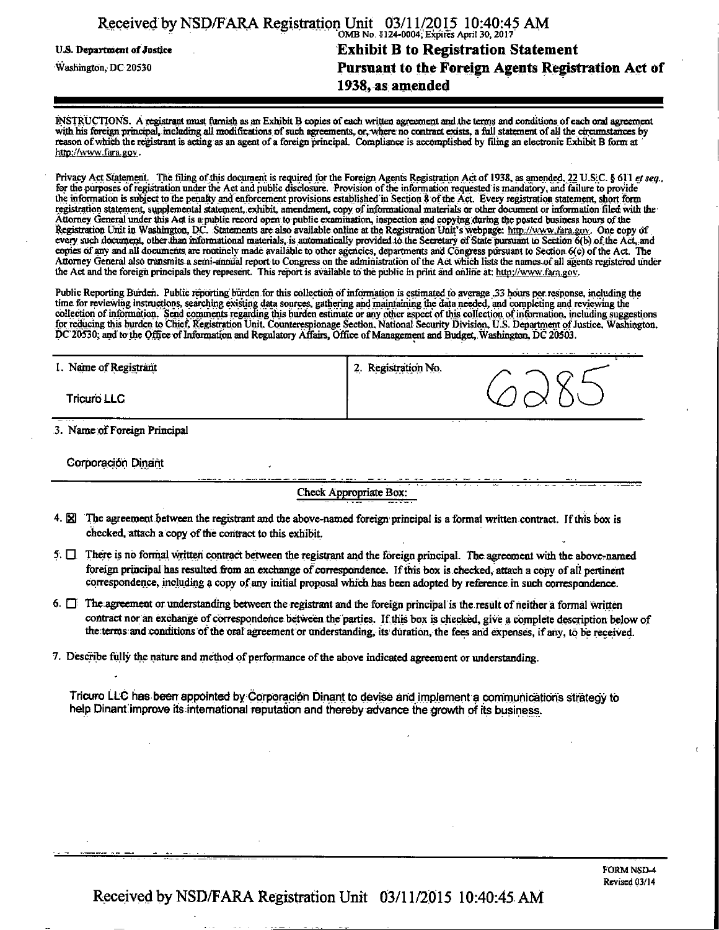| Received by NSD/FARA Registration Unit 03/11/2015 10:40:45 AM |                                                    |
|---------------------------------------------------------------|----------------------------------------------------|
| U.S. Department of Justice                                    | <b>Exhibit B to Registration Statement</b>         |
| Washington, DC 20530                                          | Pursuant to the Foreign Agents Registration Act of |
|                                                               | 1938, as amended                                   |

INSTRUCTIONS. A registrant must furnish as an Exhibit B copies of each written agreement and the terms and conditions of each oral agreement with his foreign principal, including all modifications of such agreements, or, where no contract exists, a full statement of all the circumstances by reason of which the registrant is acting as an agent of a foreign principal. Compliance is accomplished by tiling an electronic Exhibit B form at http://www.fara.gov.

Privacy Act Statement. The filing of this document is required for the Foreign Agents Registration Act of 1938, as amended. 22 U.S;C. § 611 et seq., for the purposes of registration under the Act and public disclosure. Provision of the information requested is mandatory, and failure to provide the information is subject to the penalty and enforcement provisions established in Section 8 of the Act. Every registration statement, short form registration statement, supplemental statement, exhibit, amendment, copy of informational materials or other document or information filed with the Attorney General under this Act is a public record open to public examination, inspection and copying during the posted business hours of the Registration Unit in Washington, DC. Statements are also available online at the Registration Unit's webpage: http://www.fara.gov. One copy of every such document, other than informational materials, is automatically provided to the Secretary of State pursuant to Section 6(b) of the Act, and copies of any and all documents are routinely made available to other agencies, departments arid Congress pursuant to Section 6(c) of the Act. The copies of any and all documents are routinely made available to other agencies, departments and Congress pursuant to Section 6(c) of the Act. The<br>Attorney General also transmits a semi-annual report to Congress on the admi

Public Reporting Burden. Public reporting burden for this collection of information is estimated to average .33 hours per response, including the time for reviewing instructions, searching existing data sources, gathering and maintaining the data needed, and completing and reviewing the collection of information. Send comments regarding "this burden estimate or any other aspect of this collection of information, including suggestions for reducing this burden to Chief, Registration Unit. Counterespionage Section, National Security Division, U.S. Department of Justice. Washington. DC\*20530; and to the Office of Information and Regulatory Affairs, Office of Management and Budget, Washington, DC 20503.

| I. Name of Registrant | Registration No.<br>2. |
|-----------------------|------------------------|
| Tricuro LLC           |                        |

3. Name of Foreign Principal

Corporacion Dinant

Check Appropriate Box:

- 4. **[2]** The agreement between the registrant and the above-named foreign principal is a formal written contract. If this box is checked, attach a copy of the contract to this exhibit.
- $5. \Box$  There is no formal written contract between the registrant and the foreign principal. The agreement with the above-named foreign principal has resulted from an exchange of correspondence. If this box is checked, attach a copy of all pertinent correspondence, including a copy of any initial proposal which has been adopted by reference in such correspondence.
- $6.$   $\Box$  The agreement or understanding between the registrant and the foreign principal is the result of neither a formal written contract nor an exchange of correspondence between the parties. If this box is checked, give a complete description below of the terms and conditions of the oral agreement or understanding, its duration, the fees and expenses, if any, to be received.
- 7. Describe fully the nature and method of performance of the above indicated agreement or understanding.

Tricuro LLC has been appointed by Corporación Dinant to devise and implement a communications strategy to help Dinant improve its international reputation and thereby advance the growth of its business.

Ŧ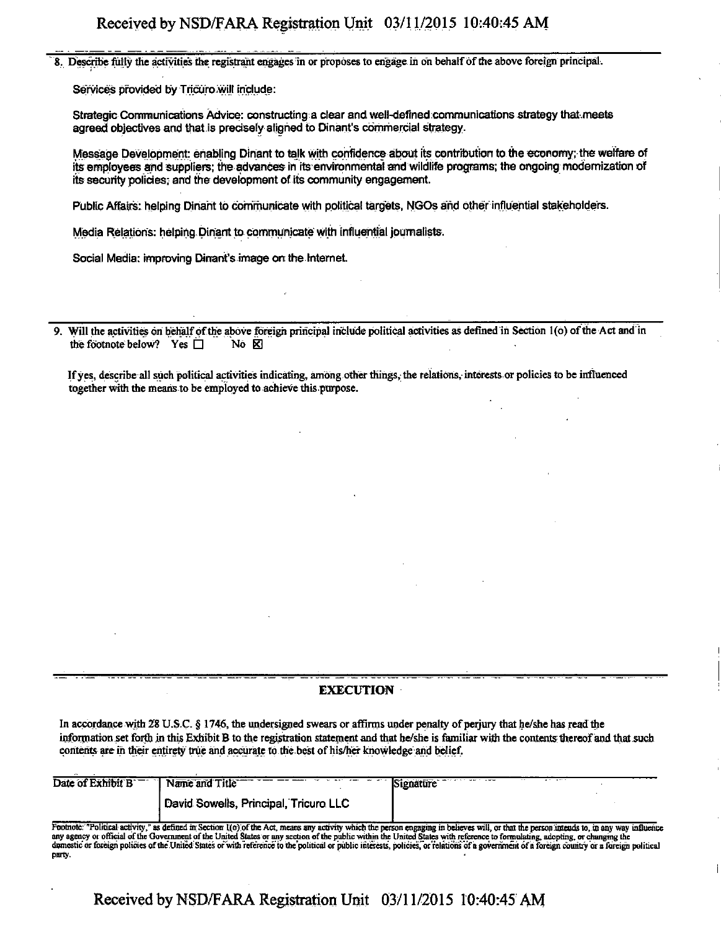Describe fully the activities the registrant engages in or proposes to engage in on behalf of the above foreign principal.

Services provided by Tricuro will include:

Strategic Comrnurtications Advice: constructing a clear and well-defined communications strategy thal.meets agreed; objectives and that is precisely aligned to Dinant's commercial strategy.

Message Development: enabling Dinant to talk with confidence about its contribution to the economy; the welfare of its employees and suppliers; the advances in ite environmental and wildlife programs; the ongoing modernization of its security policies; and the development of its community engagement.

Public Affairs: helping Dinant to communicate with political targets, NGOs and other influential stakeholders.

Media Relations: helping Dinant to communicate with influential journalists.

Social Media: improving Dinant's image on the Internet.

9. Will the activities on behalf of the above foreign principal include political activities as defined in Section 1(o) of the Act and in the footnote below? Yes  $\Box$  No  $\boxtimes$ the footnote below? Yes  $\Box$ 

If yes, describe all such political activities indicating, among other things, the relations, interests or policies to be influenced together with the means to be employed to achieve this purpose.

### **EXECUTION**

In accordance with 28 U.S.C. § 1746, the undersigned swears or affirms under penalty of perjury that he/she has read the information set forth in this Exhibit B to the registration statement and that he/she is familiar with the contents thereof and that such contents are in their entirety true and accurate to the best of his/her knowledge and belief.

| Date of Exhibit B | .<br><b>CONTRACTOR</b><br>Name and Title<br>Signature |  |
|-------------------|-------------------------------------------------------|--|
|                   | David Sowells, Principal, Tricuro LLC                 |  |

Footnote: "Political activity," as defined in Section 1(o) of the Act, means any activity which the person engaging in believes will, or that the person intends to, in any way influence<br>any agency or official of the Govern domestic or foreign policies of the United States or with reference to the political or public interests, policies, or relations of a government of a foreign country or a foreign political party.

**Received by NSD/FARA Registration Unit 03/11/2015 10:40:45 AM**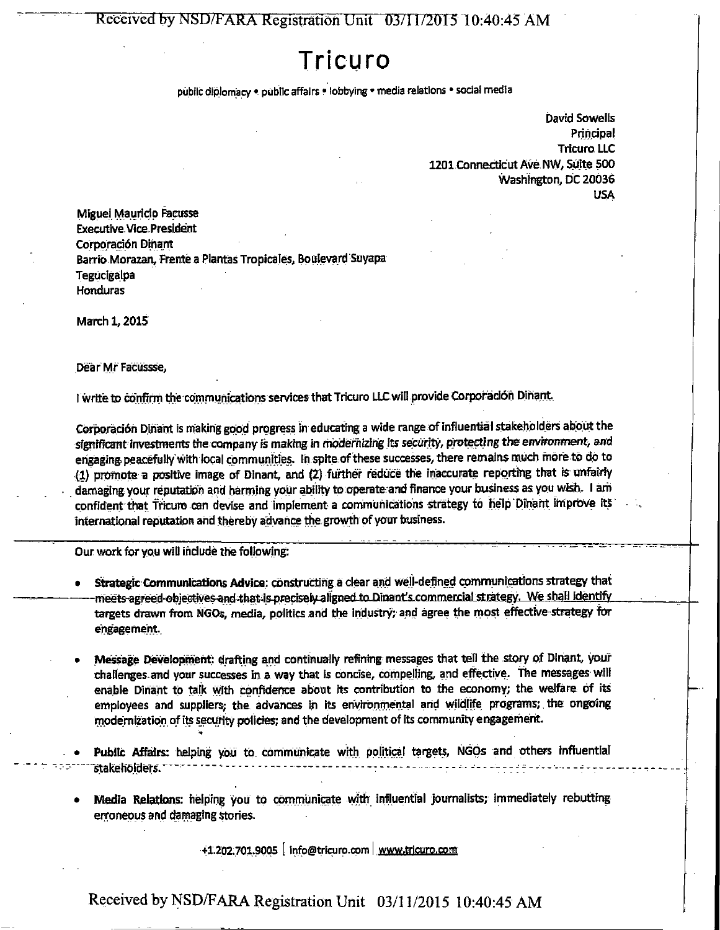Received by NSD/FARA Registration Unit" 03/11/2015 10:40:45 AM

# **Tricuro**

public diplomacy • public affairs \* lobbying • media relations • social media

David Sowells Principal Tricuro LLC 1201 Connecticut Ave NW, Suite 500 Washington, DC 20036 USA

Miguel Mauricip Faeusse Executive Vice-President Corporación Dinant Barrio Morazan, Ftente a Plantas Tropicales, Boulevard Suyapa Tegucigalpa Honduras

March 1,2015

Dear Mr Facussse,

I write to confirm the communications services that Tricuro LLC will provide Corporadón Dinant.

Corporacidn Dinant is making good progress in educating a wide range of influential stakeholders about the significant investments the company is making in modernizing its security, protecting the environment, and engaging peacefully with local communities. In spite of these successes, there remains much more to do to (1) promote a positive image of Dinant, and (2) further reduce the inaccurate reporting that is unfairly damaging your reputation and harming your ability to operate and finance your business as you wish. I am confident that Tricuro can devise and implement a communications strategy to help Dinant improve its international reputation and thereby advance the growth of your business.

Our work for you wiU ihdude the following:

- Strategic Communications Advice: constructing a clear and well-defined communications strategy that meets agreed objectives and that is precisely aligned to Dinant's commercial strategy. We shall identify targets drawn from NGOs, media, politics and the industry; and agree the most effective strategy for engagement.
- Message Development: drafting and continually refining messages that tell the story of Dinant, your challenges and your successes in a way that is concise, compelling, and effective, the messages will enable Dinant to talk with confidence about its contribution to the economy; the welfare of its employees and suppliers; the advances in its environmental and wildlife programs; the ongoing modernization of its security policies; and the development of its community engagement.
- Public Affairs: helping you to communicate with political targets, NGOs and others influential stakeholders.
- Media Relations: helping you to communicate with influential journalists; immediately rebutting erroneous and damaging stories.

+1.202.701.9005 | info@tricuro.com | www.trlcuro.com

Received by NSD/FARA Registration Unit 03/11/2015 10:40:45 AM